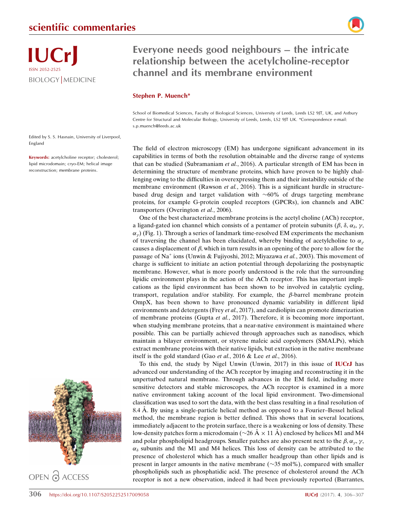

Everyone needs good neighbours – the intricate relationship between the acetylcholine-receptor channel and its membrane environment

## Stephen P. Muench\*

School of Biomedical Sciences, Faculty of Biological Sciences, University of Leeds, Leeds LS2 9JT, UK, and Astbury Centre for Structural and Molecular Biology, University of Leeds, Leeds, LS2 9JT UK. \*Correspondence e-mail: s.p.muench@leeds.ac.uk

Edited by S. S. Hasnain, University of Liverpool, England

Keywords: acetylcholine receptor; cholesterol; lipid microdomain; cryo-EM; helical image reconstruction; membrane proteins.

The field of electron microscopy (EM) has undergone significant advancement in its capabilities in terms of both the resolution obtainable and the diverse range of systems that can be studied (Subramaniam et al., 2016). A particular strength of EM has been in determining the structure of membrane proteins, which have proven to be highly challenging owing to the difficulties in overexpressing them and their instability outside of the membrane environment (Rawson *et al.*, 2016). This is a significant hurdle in structurebased drug design and target validation with  $~60\%$  of drugs targeting membrane proteins, for example G-protein coupled receptors (GPCRs), ion channels and ABC transporters (Overington et al., 2006).

One of the best characterized membrane proteins is the acetyl choline (ACh) receptor, a ligand-gated ion channel which consists of a pentamer of protein subunits ( $\beta$ ,  $\delta$ ,  $\alpha_{\delta}$ ,  $\gamma$ ,  $\alpha_{\nu}$ ) (Fig. 1). Through a series of landmark time-resolved EM experiments the mechanism of traversing the channel has been elucidated, whereby binding of acetylcholine to  $\alpha_{\nu}$ causes a displacement of  $\beta$ , which in turn results in an opening of the pore to allow for the passage of Na<sup>+</sup> ions (Unwin & Fujiyoshi, 2012; Miyazawa *et al.*, 2003). This movement of charge is sufficient to initiate an action potential through depolarizing the postsynaptic membrane. However, what is more poorly understood is the role that the surrounding lipidic environment plays in the action of the ACh receptor. This has important implications as the lipid environment has been shown to be involved in catalytic cycling, transport, regulation and/or stability. For example, the  $\beta$ -barrel membrane protein OmpX, has been shown to have pronounced dynamic variability in different lipid environments and detergents (Frey *et al.*, 2017), and cardiolipin can promote dimerization of membrane proteins (Gupta et al., 2017). Therefore, it is becoming more important, when studying membrane proteins, that a near-native environment is maintained where possible. This can be partially achieved through approaches such as nanodiscs, which maintain a bilayer environment, or styrene maleic acid copolymers (SMALPs), which extract membrane proteins with their native lipids, but extraction in the native membrane itself is the gold standard (Gao et al., 2016 & Lee et al., 2016).

To this end, the study by Nigel Unwin (Unwin, 2017) in this issue of IUCrJ has advanced our understanding of the ACh receptor by imaging and reconstructing it in the unperturbed natural membrane. Through advances in the EM field, including more sensitive detectors and stable microscopes, the ACh receptor is examined in a more native environment taking account of the local lipid environment. Two-dimensional classification was used to sort the data, with the best class resulting in a final resolution of 8.4 A. By using a single-particle helical method as opposed to a Fourier–Bessel helical method, the membrane region is better defined. This shows that in several locations, immediately adjacent to the protein surface, there is a weakening or loss of density. These low-density patches form a microdomain ( $\sim$ 26 Å  $\times$  11 Å) enclosed by helices M1 and M4 and polar phospholipid headgroups. Smaller patches are also present next to the  $\beta$ ,  $\alpha_{\gamma}$ ,  $\gamma$ ,  $\alpha_{\delta}$  subunits and the M1 and M4 helices. This loss of density can be attributed to the presence of cholesterol which has a much smaller headgroup than other lipids and is present in larger amounts in the native membrane  $(\sim]35 \text{ mol\%})$ , compared with smaller phospholipids such as phosphatidic acid. The presence of cholesterol around the ACh receptor is not a new observation, indeed it had been previously reported (Barrantes,